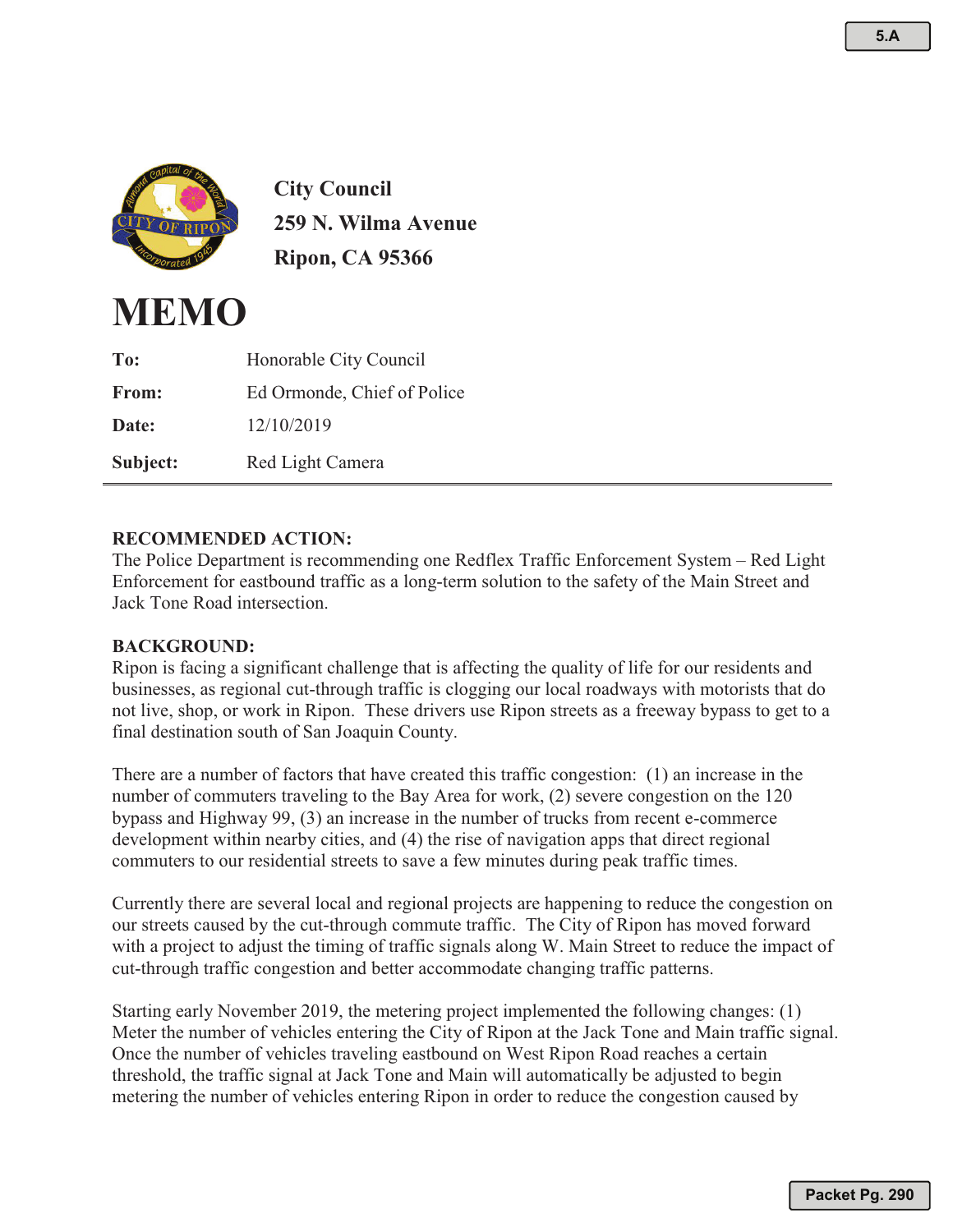

**City Council 259 N. Wilma Avenue Ripon, CA 95366**



| To:          | Honorable City Council      |
|--------------|-----------------------------|
| <b>From:</b> | Ed Ormonde, Chief of Police |
| Date:        | 12/10/2019                  |
| Subject:     | Red Light Camera            |

## **RECOMMENDED ACTION:**

The Police Department is recommending one Redflex Traffic Enforcement System – Red Light Enforcement for eastbound traffic as a long-term solution to the safety of the Main Street and Jack Tone Road intersection.

## **BACKGROUND:**

Ripon is facing a significant challenge that is affecting the quality of life for our residents and businesses, as regional cut-through traffic is clogging our local roadways with motorists that do not live, shop, or work in Ripon. These drivers use Ripon streets as a freeway bypass to get to a final destination south of San Joaquin County.

There are a number of factors that have created this traffic congestion: (1) an increase in the number of commuters traveling to the Bay Area for work, (2) severe congestion on the 120 bypass and Highway 99, (3) an increase in the number of trucks from recent e-commerce development within nearby cities, and (4) the rise of navigation apps that direct regional commuters to our residential streets to save a few minutes during peak traffic times.

Currently there are several local and regional projects are happening to reduce the congestion on our streets caused by the cut-through commute traffic. The City of Ripon has moved forward with a project to adjust the timing of traffic signals along W. Main Street to reduce the impact of cut-through traffic congestion and better accommodate changing traffic patterns.

Starting early November 2019, the metering project implemented the following changes: (1) Meter the number of vehicles entering the City of Ripon at the Jack Tone and Main traffic signal. Once the number of vehicles traveling eastbound on West Ripon Road reaches a certain threshold, the traffic signal at Jack Tone and Main will automatically be adjusted to begin metering the number of vehicles entering Ripon in order to reduce the congestion caused by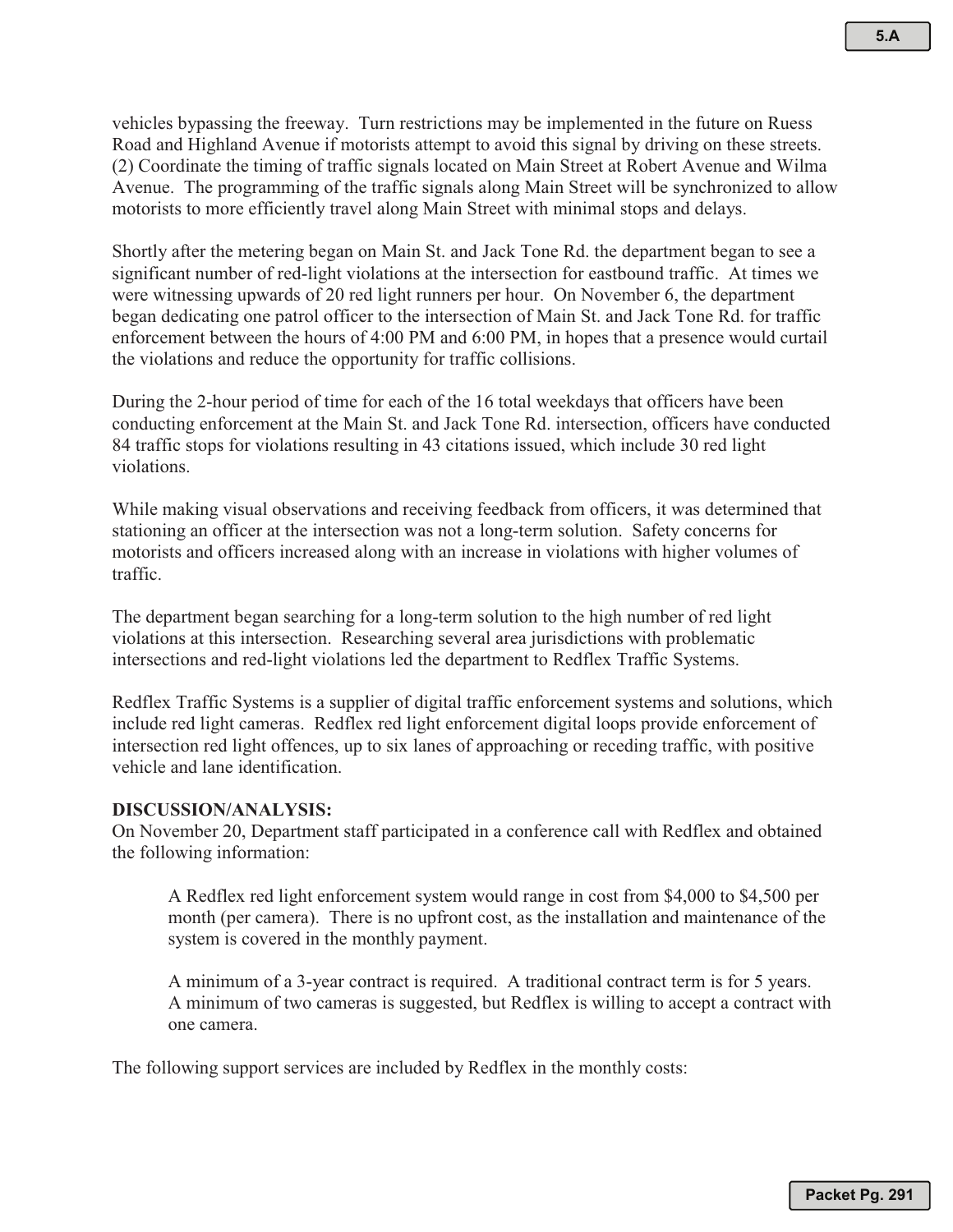vehicles bypassing the freeway. Turn restrictions may be implemented in the future on Ruess Road and Highland Avenue if motorists attempt to avoid this signal by driving on these streets. (2) Coordinate the timing of traffic signals located on Main Street at Robert Avenue and Wilma Avenue. The programming of the traffic signals along Main Street will be synchronized to allow motorists to more efficiently travel along Main Street with minimal stops and delays.

Shortly after the metering began on Main St. and Jack Tone Rd. the department began to see a significant number of red-light violations at the intersection for eastbound traffic. At times we were witnessing upwards of 20 red light runners per hour. On November 6, the department began dedicating one patrol officer to the intersection of Main St. and Jack Tone Rd. for traffic enforcement between the hours of 4:00 PM and 6:00 PM, in hopes that a presence would curtail the violations and reduce the opportunity for traffic collisions.

During the 2-hour period of time for each of the 16 total weekdays that officers have been conducting enforcement at the Main St. and Jack Tone Rd. intersection, officers have conducted 84 traffic stops for violations resulting in 43 citations issued, which include 30 red light violations.

While making visual observations and receiving feedback from officers, it was determined that stationing an officer at the intersection was not a long-term solution. Safety concerns for motorists and officers increased along with an increase in violations with higher volumes of traffic.

The department began searching for a long-term solution to the high number of red light violations at this intersection. Researching several area jurisdictions with problematic intersections and red-light violations led the department to Redflex Traffic Systems.

Redflex Traffic Systems is a supplier of digital traffic enforcement systems and solutions, which include red light cameras. Redflex red light enforcement digital loops provide enforcement of intersection red light offences, up to six lanes of approaching or receding traffic, with positive vehicle and lane identification.

## **DISCUSSION/ANALYSIS:**

On November 20, Department staff participated in a conference call with Redflex and obtained the following information:

A Redflex red light enforcement system would range in cost from \$4,000 to \$4,500 per month (per camera). There is no upfront cost, as the installation and maintenance of the system is covered in the monthly payment.

A minimum of a 3-year contract is required. A traditional contract term is for 5 years. A minimum of two cameras is suggested, but Redflex is willing to accept a contract with one camera.

The following support services are included by Redflex in the monthly costs: